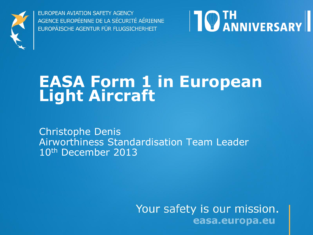

**EUROPEAN AVIATION SAFETY AGENCY** AGENCE EUROPÉENNE DE LA SÉCURITÉ AÉRIENNE EUROPÄISCHE AGENTUR FÜR FLUGSICHERHEIT



## **EASA Form 1 in European Light Aircraft**

Christophe Denis Airworthiness Standardisation Team Leader 10th December 2013

> Your safety is our mission. easa.europa.eu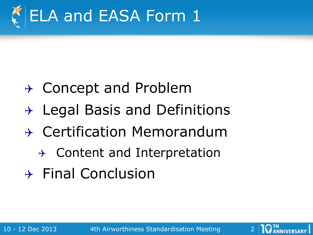

- $\rightarrow$  Concept and Problem
- $\rightarrow$  Legal Basis and Definitions
- $\rightarrow$  Certification Memorandum
	- $\rightarrow$  Content and Interpretation
- $\rightarrow$  Final Conclusion

10 - 12 Dec 2013 4th Airworthiness Standardisation Meeting 2

**10 IH ANNIVERSARY**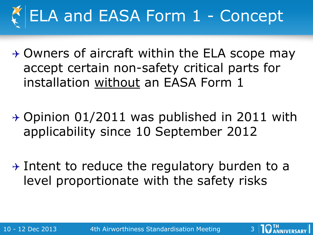

- $\rightarrow$  Owners of aircraft within the ELA scope may accept certain non-safety critical parts for installation without an EASA Form 1
- $\rightarrow$  Opinion 01/2011 was published in 2011 with applicability since 10 September 2012
- $\rightarrow$  Intent to reduce the regulatory burden to a level proportionate with the safety risks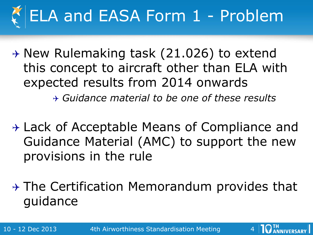

 $\rightarrow$  New Rulemaking task (21.026) to extend this concept to aircraft other than ELA with expected results from 2014 onwards

*Guidance material to be one of these results*

 $\rightarrow$  Lack of Acceptable Means of Compliance and Guidance Material (AMC) to support the new provisions in the rule

 $\rightarrow$  The Certification Memorandum provides that guidance

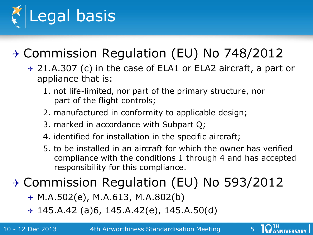

## Commission Regulation (EU) No 748/2012

- $\rightarrow$  21.A.307 (c) in the case of ELA1 or ELA2 aircraft, a part or appliance that is:
	- 1. not life-limited, nor part of the primary structure, nor part of the flight controls;
	- 2. manufactured in conformity to applicable design;
	- 3. marked in accordance with Subpart Q;
	- 4. identified for installation in the specific aircraft;
	- 5. to be installed in an aircraft for which the owner has verified compliance with the conditions 1 through 4 and has accepted responsibility for this compliance.

## → Commission Regulation (EU) No 593/2012

- $\rightarrow$  M.A.502(e), M.A.613, M.A.802(b)
- $+$  145.A.42 (a)6, 145.A.42(e), 145.A.50(d)

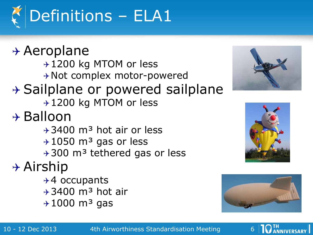

 $\rightarrow$  Aeroplane → 1200 kg MTOM or less \* Not complex motor-powered  $\rightarrow$  Sailplane or powered sailplane → 1200 kg MTOM or less  $\rightarrow$  Balloon  $\rightarrow$  3400 m<sup>3</sup> hot air or less  $+1050$  m<sup>3</sup> gas or less  $+300$  m<sup>3</sup> tethered gas or less  $\rightarrow$  Airship  $+4$  occupants  $\rightarrow$  3400 m<sup>3</sup> hot air  $+1000$  m<sup>3</sup> gas







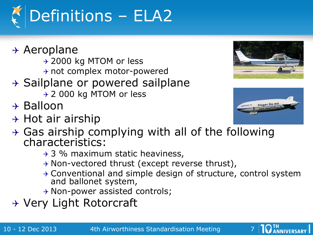

- $\rightarrow$  Aeroplane
	- → 2000 kg MTOM or less
	- $\rightarrow$  not complex motor-powered
- $\rightarrow$  Sailplane or powered sailplane
	- → 2 000 kg MTOM or less
- $\rightarrow$  Balloon
- $\rightarrow$  Hot air airship



- $\rightarrow$  Gas airship complying with all of the following characteristics:
	- $\rightarrow$  3 % maximum static heaviness,
	- $\rightarrow$  Non-vectored thrust (except reverse thrust),
	- $\rightarrow$  Conventional and simple design of structure, control system and ballonet system,
	- $\rightarrow$  Non-power assisted controls;
- $\rightarrow$  Very Light Rotorcraft

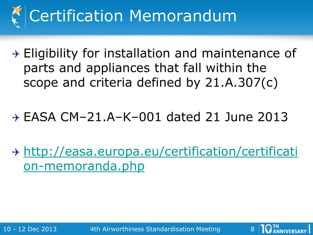

 $\rightarrow$  Eligibility for installation and maintenance of parts and appliances that fall within the scope and criteria defined by 21.A.307(c)

## EASA CM–21.A–K–001 dated 21 June 2013

 [http://easa.europa.eu/certification/certificati](http://easa.europa.eu/certification/certification-memoranda.php) [on-memoranda.php](http://easa.europa.eu/certification/certification-memoranda.php)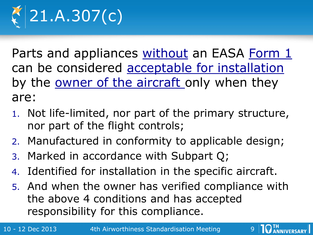

Parts and appliances without an EASA Form 1 can be considered acceptable for installation by the **owner of the aircraft** only when they are:

- 1. Not life-limited, nor part of the primary structure, nor part of the flight controls;
- 2. Manufactured in conformity to applicable design;
- 3. Marked in accordance with Subpart Q;
- 4. Identified for installation in the specific aircraft.
- 5. And when the owner has verified compliance with the above 4 conditions and has accepted responsibility for this compliance.

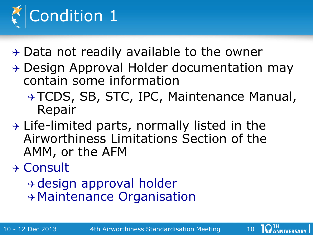

- $\rightarrow$  Data not readily available to the owner
- $\rightarrow$  Design Approval Holder documentation may contain some information
	- → TCDS, SB, STC, IPC, Maintenance Manual, Repair
- $\rightarrow$  Life-limited parts, normally listed in the Airworthiness Limitations Section of the AMM, or the AFM
- Consult
	- design approval holder Maintenance Organisation

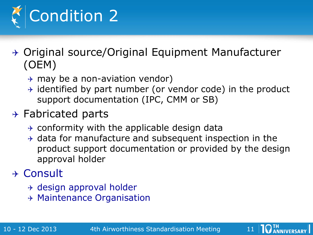

- $\rightarrow$  Original source/Original Equipment Manufacturer (OEM)
	- $\rightarrow$  may be a non-aviation vendor)
	- $\rightarrow$  identified by part number (or vendor code) in the product support documentation (IPC, CMM or SB)

#### $\rightarrow$  Fabricated parts

- $\rightarrow$  conformity with the applicable design data
- $\rightarrow$  data for manufacture and subsequent inspection in the product support documentation or provided by the design approval holder

### Consult

- $\rightarrow$  design approval holder
- $\rightarrow$  Maintenance Organisation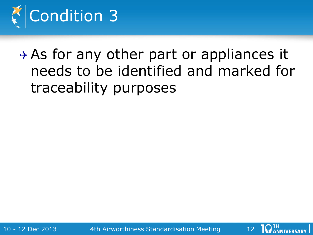

 $\rightarrow$  As for any other part or appliances it needs to be identified and marked for traceability purposes

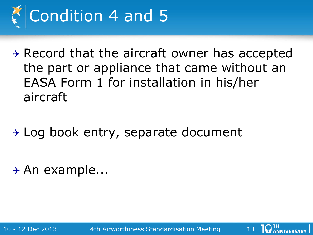

 $\rightarrow$  Record that the aircraft owner has accepted the part or appliance that came without an EASA Form 1 for installation in his/her aircraft

 $\rightarrow$  Log book entry, separate document

 $\rightarrow$  An example...

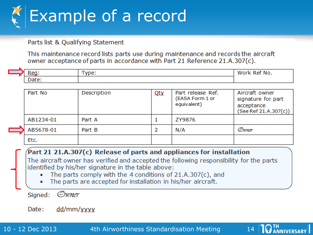

Parts list & Qualifying Statement

This maintenance record lists parts use during maintenance and records the aircraft owner acceptance of parts in accordance with Part 21 Reference 21.A.307(c).

|    | 'NO. |
|----|------|
| -- |      |

|  | Part No   | Description | Qty | Part release Ref.<br>(EASA Form 1 or<br>equivalent) | Aircraft owner<br>signature for part<br>acceptance<br>(See Ref 21.A.307(c)) |
|--|-----------|-------------|-----|-----------------------------------------------------|-----------------------------------------------------------------------------|
|  | AB1234-01 | Part A      |     | ZY9876                                              |                                                                             |
|  | AB5678-01 | Part B      |     | N/A                                                 | Owner                                                                       |
|  | Etc.      |             |     |                                                     |                                                                             |

#### Part 21 21.A.307(c) Release of parts and appliances for installation

The aircraft owner has verified and accepted the following responsibility for the parts identified by his/her signature in the table above:

- The parts comply with the 4 conditions of 21.A.307(c), and
- The parts are accepted for installation in his/her aircraft.

Owner Signed:

Date: dd/mm/yyyy

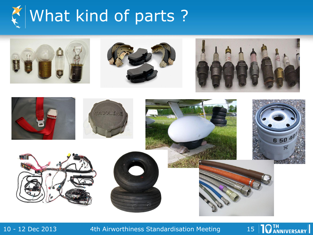











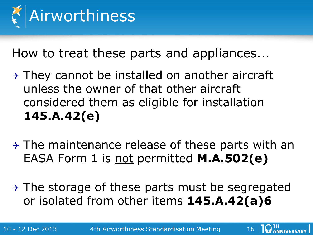

How to treat these parts and appliances...

- $\rightarrow$  They cannot be installed on another aircraft unless the owner of that other aircraft considered them as eligible for installation **145.A.42(e)**
- $\rightarrow$  The maintenance release of these parts with an EASA Form 1 is not permitted **M.A.502(e)**
- $\rightarrow$  The storage of these parts must be segregated or isolated from other items **145.A.42(a)6**

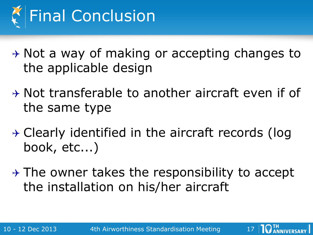

 $\rightarrow$  Not a way of making or accepting changes to the applicable design

- $\rightarrow$  Not transferable to another aircraft even if of the same type
- $\rightarrow$  Clearly identified in the aircraft records (log book, etc...)
- $\rightarrow$  The owner takes the responsibility to accept the installation on his/her aircraft